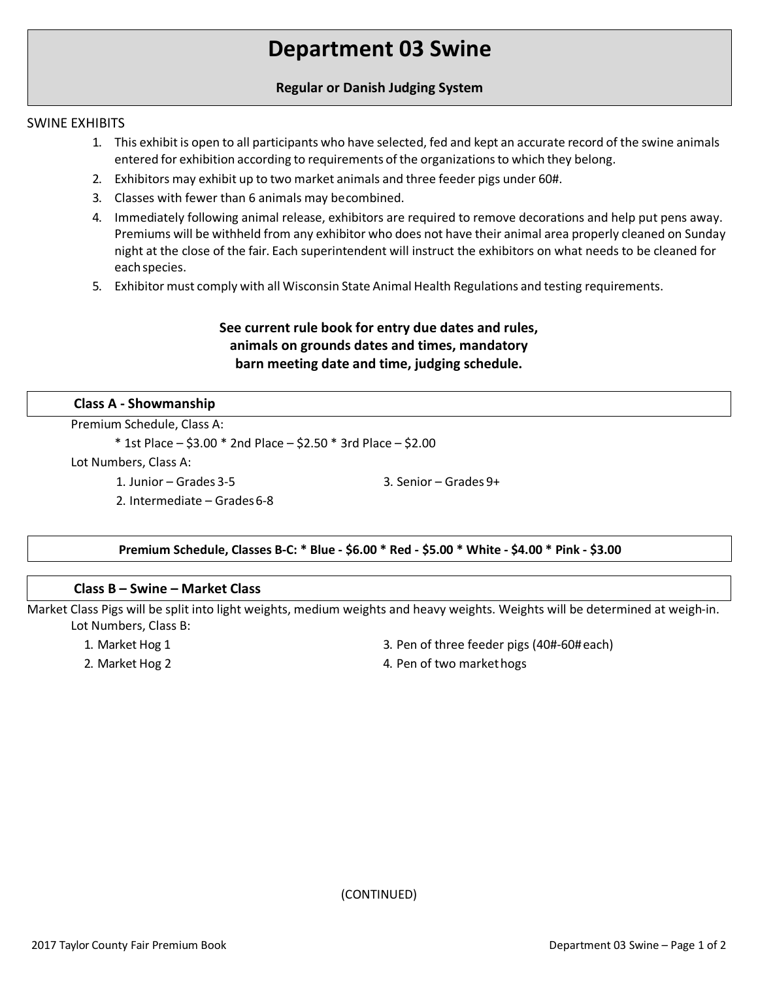# **Department 03 Swine**

# **Regular or Danish Judging System**

## SWINE EXHIBITS

- 1. This exhibit is open to all participants who have selected, fed and kept an accurate record of the swine animals entered for exhibition according to requirements of the organizationsto which they belong.
- 2. Exhibitors may exhibit up to two market animals and three feeder pigs under 60#.
- 3. Classes with fewer than 6 animals may becombined.
- 4. Immediately following animal release, exhibitors are required to remove decorations and help put pens away. Premiums will be withheld from any exhibitor who does not have their animal area properly cleaned on Sunday night at the close of the fair. Each superintendent will instruct the exhibitors on what needs to be cleaned for eachspecies.
- 5. Exhibitor must comply with all Wisconsin State Animal Health Regulations and testing requirements.

# **See current rule book for entry due dates and rules, animals on grounds dates and times, mandatory barn meeting date and time, judging schedule.**

#### **Class A - Showmanship**

Premium Schedule, Class A:

\* 1st Place – \$3.00 \* 2nd Place – \$2.50 \* 3rd Place – \$2.00

Lot Numbers, Class A:

1. Junior – Grades 3-5

2. Intermediate – Grades6-8

**Premium Schedule, Classes B-C: \* Blue - \$6.00 \* Red - \$5.00 \* White - \$4.00 \* Pink - \$3.00**

#### **Class B – Swine – Market Class**

Market Class Pigs will be split into light weights, medium weights and heavy weights. Weights will be determined at weigh-in. Lot Numbers, Class B:

1. Market Hog 1

2. Market Hog 2

- 3. Pen of three feeder pigs (40#-60#each)
- 4. Pen of two markethogs

3. Senior – Grades 9+

(CONTINUED)